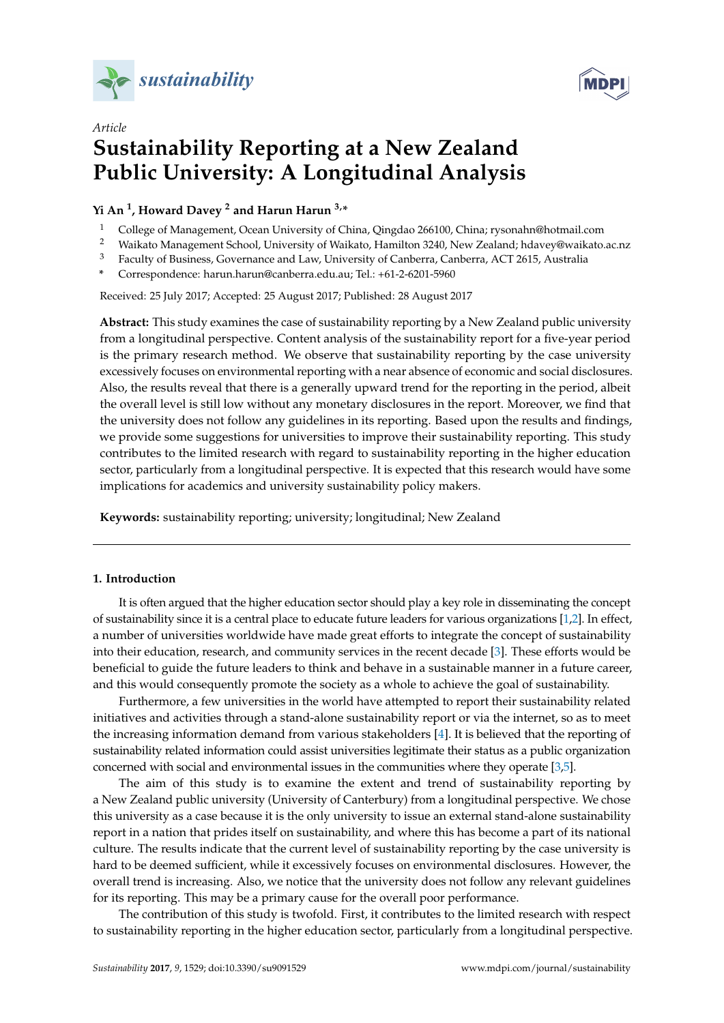



# *Article* **Sustainability Reporting at a New Zealand Public University: A Longitudinal Analysis**

### **Yi An <sup>1</sup> , Howard Davey <sup>2</sup> and Harun Harun 3,\***

- <sup>1</sup> College of Management, Ocean University of China, Qingdao 266100, China; rysonahn@hotmail.com
- <sup>2</sup> Waikato Management School, University of Waikato, Hamilton 3240, New Zealand; hdavey@waikato.ac.nz
- <sup>3</sup> Faculty of Business, Governance and Law, University of Canberra, Canberra, ACT 2615, Australia

**\*** Correspondence: harun.harun@canberra.edu.au; Tel.: +61-2-6201-5960

Received: 25 July 2017; Accepted: 25 August 2017; Published: 28 August 2017

**Abstract:** This study examines the case of sustainability reporting by a New Zealand public university from a longitudinal perspective. Content analysis of the sustainability report for a five-year period is the primary research method. We observe that sustainability reporting by the case university excessively focuses on environmental reporting with a near absence of economic and social disclosures. Also, the results reveal that there is a generally upward trend for the reporting in the period, albeit the overall level is still low without any monetary disclosures in the report. Moreover, we find that the university does not follow any guidelines in its reporting. Based upon the results and findings, we provide some suggestions for universities to improve their sustainability reporting. This study contributes to the limited research with regard to sustainability reporting in the higher education sector, particularly from a longitudinal perspective. It is expected that this research would have some implications for academics and university sustainability policy makers.

**Keywords:** sustainability reporting; university; longitudinal; New Zealand

#### **1. Introduction**

It is often argued that the higher education sector should play a key role in disseminating the concept of sustainability since it is a central place to educate future leaders for various organizations [\[1,](#page-9-0)[2\]](#page-9-1). In effect, a number of universities worldwide have made great efforts to integrate the concept of sustainability into their education, research, and community services in the recent decade [\[3\]](#page-9-2). These efforts would be beneficial to guide the future leaders to think and behave in a sustainable manner in a future career, and this would consequently promote the society as a whole to achieve the goal of sustainability.

Furthermore, a few universities in the world have attempted to report their sustainability related initiatives and activities through a stand-alone sustainability report or via the internet, so as to meet the increasing information demand from various stakeholders [\[4\]](#page-9-3). It is believed that the reporting of sustainability related information could assist universities legitimate their status as a public organization concerned with social and environmental issues in the communities where they operate [\[3,](#page-9-2)[5\]](#page-9-4).

The aim of this study is to examine the extent and trend of sustainability reporting by a New Zealand public university (University of Canterbury) from a longitudinal perspective. We chose this university as a case because it is the only university to issue an external stand-alone sustainability report in a nation that prides itself on sustainability, and where this has become a part of its national culture. The results indicate that the current level of sustainability reporting by the case university is hard to be deemed sufficient, while it excessively focuses on environmental disclosures. However, the overall trend is increasing. Also, we notice that the university does not follow any relevant guidelines for its reporting. This may be a primary cause for the overall poor performance.

The contribution of this study is twofold. First, it contributes to the limited research with respect to sustainability reporting in the higher education sector, particularly from a longitudinal perspective.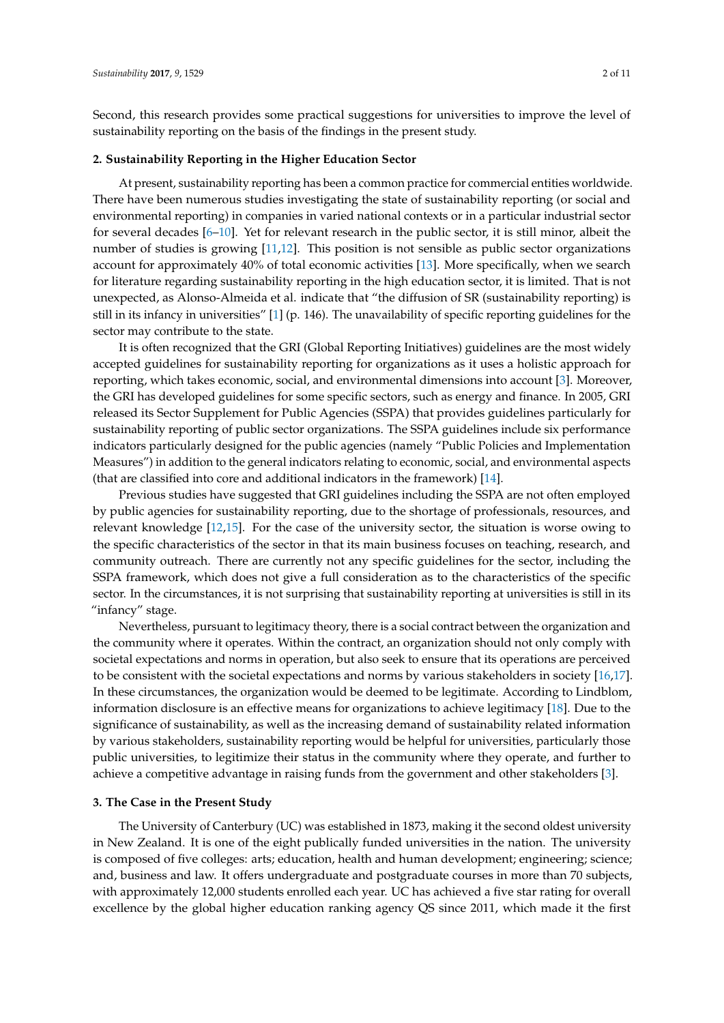Second, this research provides some practical suggestions for universities to improve the level of sustainability reporting on the basis of the findings in the present study.

#### **2. Sustainability Reporting in the Higher Education Sector**

At present, sustainability reporting has been a common practice for commercial entities worldwide. There have been numerous studies investigating the state of sustainability reporting (or social and environmental reporting) in companies in varied national contexts or in a particular industrial sector for several decades [\[6–](#page-9-5)[10\]](#page-9-6). Yet for relevant research in the public sector, it is still minor, albeit the number of studies is growing [\[11](#page-9-7)[,12\]](#page-9-8). This position is not sensible as public sector organizations account for approximately 40% of total economic activities [\[13\]](#page-9-9). More specifically, when we search for literature regarding sustainability reporting in the high education sector, it is limited. That is not unexpected, as Alonso-Almeida et al. indicate that "the diffusion of SR (sustainability reporting) is still in its infancy in universities" [\[1\]](#page-9-0) (p. 146). The unavailability of specific reporting guidelines for the sector may contribute to the state.

It is often recognized that the GRI (Global Reporting Initiatives) guidelines are the most widely accepted guidelines for sustainability reporting for organizations as it uses a holistic approach for reporting, which takes economic, social, and environmental dimensions into account [\[3\]](#page-9-2). Moreover, the GRI has developed guidelines for some specific sectors, such as energy and finance. In 2005, GRI released its Sector Supplement for Public Agencies (SSPA) that provides guidelines particularly for sustainability reporting of public sector organizations. The SSPA guidelines include six performance indicators particularly designed for the public agencies (namely "Public Policies and Implementation Measures") in addition to the general indicators relating to economic, social, and environmental aspects (that are classified into core and additional indicators in the framework) [\[14\]](#page-9-10).

Previous studies have suggested that GRI guidelines including the SSPA are not often employed by public agencies for sustainability reporting, due to the shortage of professionals, resources, and relevant knowledge [\[12](#page-9-8)[,15\]](#page-9-11). For the case of the university sector, the situation is worse owing to the specific characteristics of the sector in that its main business focuses on teaching, research, and community outreach. There are currently not any specific guidelines for the sector, including the SSPA framework, which does not give a full consideration as to the characteristics of the specific sector. In the circumstances, it is not surprising that sustainability reporting at universities is still in its "infancy" stage.

Nevertheless, pursuant to legitimacy theory, there is a social contract between the organization and the community where it operates. Within the contract, an organization should not only comply with societal expectations and norms in operation, but also seek to ensure that its operations are perceived to be consistent with the societal expectations and norms by various stakeholders in society [\[16,](#page-9-12)[17\]](#page-9-13). In these circumstances, the organization would be deemed to be legitimate. According to Lindblom, information disclosure is an effective means for organizations to achieve legitimacy [\[18\]](#page-9-14). Due to the significance of sustainability, as well as the increasing demand of sustainability related information by various stakeholders, sustainability reporting would be helpful for universities, particularly those public universities, to legitimize their status in the community where they operate, and further to achieve a competitive advantage in raising funds from the government and other stakeholders [\[3\]](#page-9-2).

#### **3. The Case in the Present Study**

The University of Canterbury (UC) was established in 1873, making it the second oldest university in New Zealand. It is one of the eight publically funded universities in the nation. The university is composed of five colleges: arts; education, health and human development; engineering; science; and, business and law. It offers undergraduate and postgraduate courses in more than 70 subjects, with approximately 12,000 students enrolled each year. UC has achieved a five star rating for overall excellence by the global higher education ranking agency QS since 2011, which made it the first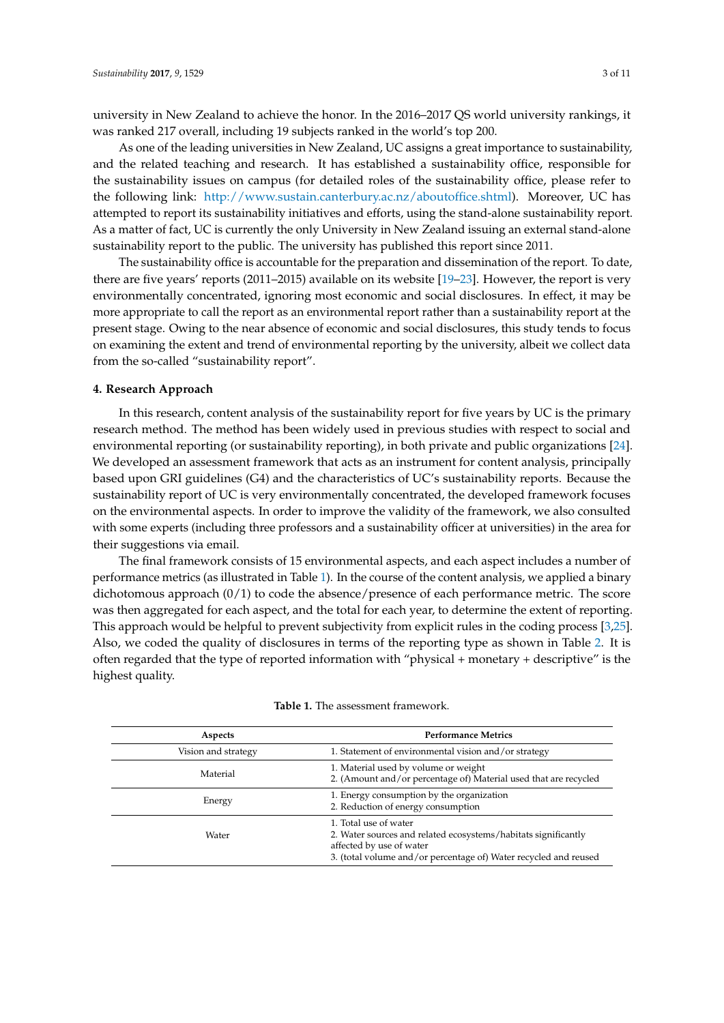university in New Zealand to achieve the honor. In the 2016–2017 QS world university rankings, it was ranked 217 overall, including 19 subjects ranked in the world's top 200.

As one of the leading universities in New Zealand, UC assigns a great importance to sustainability, and the related teaching and research. It has established a sustainability office, responsible for the sustainability issues on campus (for detailed roles of the sustainability office, please refer to the following link: [http://www.sustain.canterbury.ac.nz/aboutoffice.shtml\)](http://www.sustain.canterbury.ac.nz/aboutoffice.shtml). Moreover, UC has attempted to report its sustainability initiatives and efforts, using the stand-alone sustainability report. As a matter of fact, UC is currently the only University in New Zealand issuing an external stand-alone sustainability report to the public. The university has published this report since 2011.

The sustainability office is accountable for the preparation and dissemination of the report. To date, there are five years' reports (2011–2015) available on its website [\[19](#page-9-15)[–23\]](#page-9-16). However, the report is very environmentally concentrated, ignoring most economic and social disclosures. In effect, it may be more appropriate to call the report as an environmental report rather than a sustainability report at the present stage. Owing to the near absence of economic and social disclosures, this study tends to focus on examining the extent and trend of environmental reporting by the university, albeit we collect data from the so-called "sustainability report".

#### **4. Research Approach**

In this research, content analysis of the sustainability report for five years by UC is the primary research method. The method has been widely used in previous studies with respect to social and environmental reporting (or sustainability reporting), in both private and public organizations [\[24\]](#page-9-17). We developed an assessment framework that acts as an instrument for content analysis, principally based upon GRI guidelines (G4) and the characteristics of UC's sustainability reports. Because the sustainability report of UC is very environmentally concentrated, the developed framework focuses on the environmental aspects. In order to improve the validity of the framework, we also consulted with some experts (including three professors and a sustainability officer at universities) in the area for their suggestions via email.

The final framework consists of 15 environmental aspects, and each aspect includes a number of performance metrics (as illustrated in Table [1\)](#page-3-0). In the course of the content analysis, we applied a binary dichotomous approach  $(0/1)$  to code the absence/presence of each performance metric. The score was then aggregated for each aspect, and the total for each year, to determine the extent of reporting. This approach would be helpful to prevent subjectivity from explicit rules in the coding process [\[3](#page-9-2)[,25\]](#page-10-0). Also, we coded the quality of disclosures in terms of the reporting type as shown in Table [2.](#page-3-1) It is often regarded that the type of reported information with "physical + monetary + descriptive" is the highest quality.

| Aspects             | <b>Performance Metrics</b>                                                                                                                                                              |
|---------------------|-----------------------------------------------------------------------------------------------------------------------------------------------------------------------------------------|
| Vision and strategy | 1. Statement of environmental vision and/or strategy                                                                                                                                    |
| Material            | 1. Material used by volume or weight<br>2. (Amount and/or percentage of) Material used that are recycled                                                                                |
| Energy              | 1. Energy consumption by the organization<br>2. Reduction of energy consumption                                                                                                         |
| Water               | 1. Total use of water<br>2. Water sources and related ecosystems/habitats significantly<br>affected by use of water<br>3. (total volume and/or percentage of) Water recycled and reused |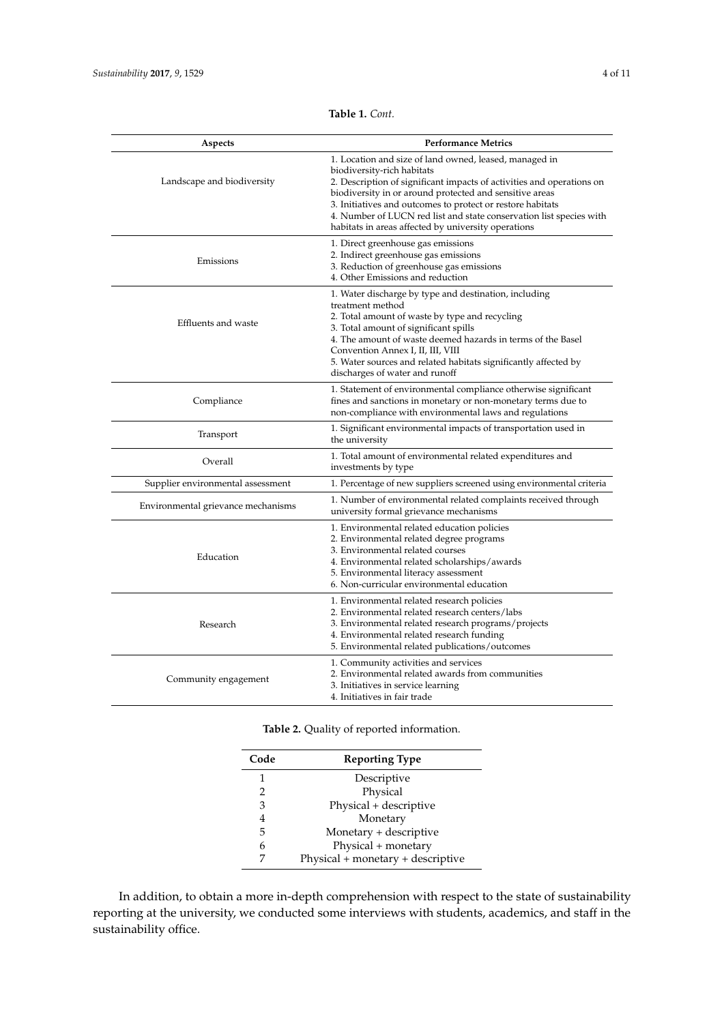<span id="page-3-0"></span>

| Aspects                            | <b>Performance Metrics</b>                                                                                                                                                                                                                                                                                                                                                                                           |
|------------------------------------|----------------------------------------------------------------------------------------------------------------------------------------------------------------------------------------------------------------------------------------------------------------------------------------------------------------------------------------------------------------------------------------------------------------------|
| Landscape and biodiversity         | 1. Location and size of land owned, leased, managed in<br>biodiversity-rich habitats<br>2. Description of significant impacts of activities and operations on<br>biodiversity in or around protected and sensitive areas<br>3. Initiatives and outcomes to protect or restore habitats<br>4. Number of LUCN red list and state conservation list species with<br>habitats in areas affected by university operations |
| Emissions                          | 1. Direct greenhouse gas emissions<br>2. Indirect greenhouse gas emissions<br>3. Reduction of greenhouse gas emissions<br>4. Other Emissions and reduction                                                                                                                                                                                                                                                           |
| Effluents and waste                | 1. Water discharge by type and destination, including<br>treatment method<br>2. Total amount of waste by type and recycling<br>3. Total amount of significant spills<br>4. The amount of waste deemed hazards in terms of the Basel<br>Convention Annex I, II, III, VIII<br>5. Water sources and related habitats significantly affected by<br>discharges of water and runoff                                        |
| Compliance                         | 1. Statement of environmental compliance otherwise significant<br>fines and sanctions in monetary or non-monetary terms due to<br>non-compliance with environmental laws and regulations                                                                                                                                                                                                                             |
| Transport                          | 1. Significant environmental impacts of transportation used in<br>the university                                                                                                                                                                                                                                                                                                                                     |
| Overall                            | 1. Total amount of environmental related expenditures and<br>investments by type                                                                                                                                                                                                                                                                                                                                     |
| Supplier environmental assessment  | 1. Percentage of new suppliers screened using environmental criteria                                                                                                                                                                                                                                                                                                                                                 |
| Environmental grievance mechanisms | 1. Number of environmental related complaints received through<br>university formal grievance mechanisms                                                                                                                                                                                                                                                                                                             |
| Education                          | 1. Environmental related education policies<br>2. Environmental related degree programs<br>3. Environmental related courses<br>4. Environmental related scholarships/awards<br>5. Environmental literacy assessment<br>6. Non-curricular environmental education                                                                                                                                                     |
| Research                           | 1. Environmental related research policies<br>2. Environmental related research centers/labs<br>3. Environmental related research programs/projects<br>4. Environmental related research funding<br>5. Environmental related publications/outcomes                                                                                                                                                                   |
| Community engagement               | 1. Community activities and services<br>2. Environmental related awards from communities<br>3. Initiatives in service learning<br>4. Initiatives in fair trade                                                                                                                                                                                                                                                       |

**Table 1.** *Cont.*

**Table 2.** Quality of reported information.

<span id="page-3-1"></span>

| Code | <b>Reporting Type</b>             |
|------|-----------------------------------|
| 1    | Descriptive                       |
| 2    | Physical                          |
| 3    | Physical + descriptive            |
| 4    | Monetary                          |
| 5    | Monetary + descriptive            |
| 6    | Physical + monetary               |
|      | Physical + monetary + descriptive |

In addition, to obtain a more in-depth comprehension with respect to the state of sustainability reporting at the university, we conducted some interviews with students, academics, and staff in the sustainability office.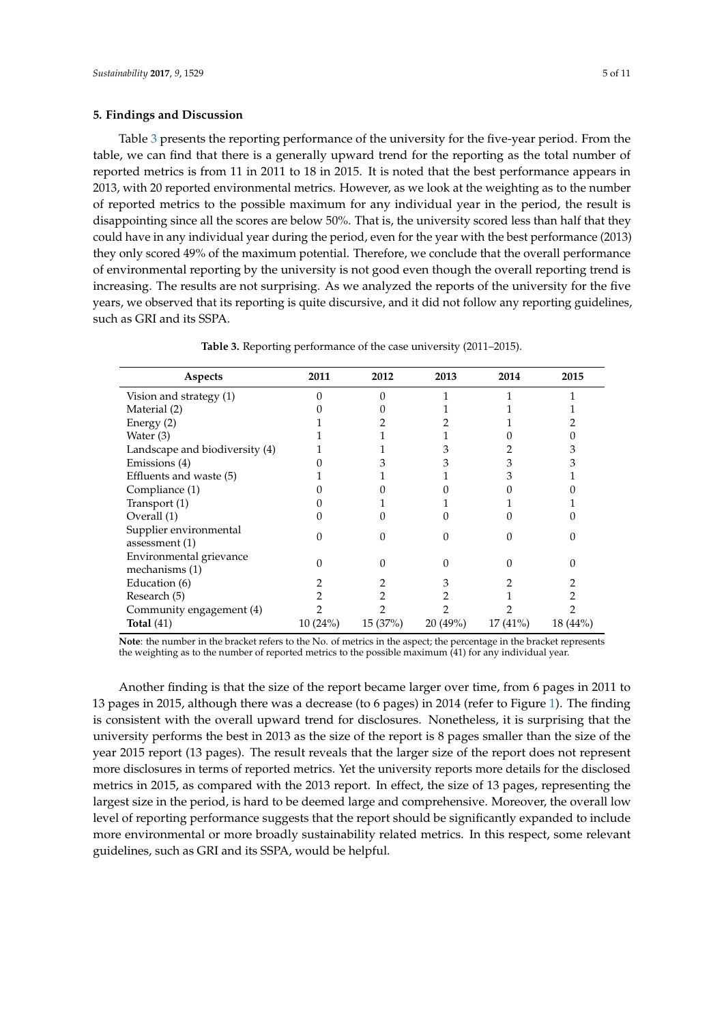#### **5. Findings and Discussion**

Table [3](#page-4-0) presents the reporting performance of the university for the five-year period. From the table, we can find that there is a generally upward trend for the reporting as the total number of reported metrics is from 11 in 2011 to 18 in 2015. It is noted that the best performance appears in 2013, with 20 reported environmental metrics. However, as we look at the weighting as to the number of reported metrics to the possible maximum for any individual year in the period, the result is disappointing since all the scores are below 50%. That is, the university scored less than half that they could have in any individual year during the period, even for the year with the best performance (2013) they only scored 49% of the maximum potential. Therefore, we conclude that the overall performance of environmental reporting by the university is not good even though the overall reporting trend is increasing. The results are not surprising. As we analyzed the reports of the university for the five years, we observed that its reporting is quite discursive, and it did not follow any reporting guidelines, such as GRI and its SSPA.

<span id="page-4-0"></span>

| Aspects                                    | 2011    | 2012    | 2013    | 2014    | 2015     |
|--------------------------------------------|---------|---------|---------|---------|----------|
| Vision and strategy (1)                    |         |         |         |         |          |
| Material (2)                               |         |         |         |         |          |
| Energy (2)                                 |         |         |         |         |          |
| Water (3)                                  |         |         |         |         |          |
| Landscape and biodiversity (4)             |         |         |         |         |          |
| Emissions (4)                              |         |         |         |         |          |
| Effluents and waste (5)                    |         |         |         |         |          |
| Compliance (1)                             |         |         |         |         |          |
| Transport (1)                              |         |         |         |         |          |
| Overall (1)                                |         |         |         |         |          |
| Supplier environmental<br>assessment $(1)$ |         |         |         |         |          |
| Environmental grievance<br>mechanisms (1)  |         |         |         |         |          |
| Education (6)                              |         |         |         |         |          |
| Research (5)                               |         |         |         |         |          |
| Community engagement (4)                   |         |         |         |         |          |
| Total $(41)$                               | 10(24%) | 15(37%) | 20(49%) | 17(41%) | 18 (44%) |

**Table 3.** Reporting performance of the case university (2011–2015).

**Note**: the number in the bracket refers to the No. of metrics in the aspect; the percentage in the bracket represents the weighting as to the number of reported metrics to the possible maximum (41) for any individual year.

Another finding is that the size of the report became larger over time, from 6 pages in 2011 to 13 pages in 2015, although there was a decrease (to 6 pages) in 2014 (refer to Figure [1\)](#page-5-0). The finding is consistent with the overall upward trend for disclosures. Nonetheless, it is surprising that the university performs the best in 2013 as the size of the report is 8 pages smaller than the size of the year 2015 report (13 pages). The result reveals that the larger size of the report does not represent more disclosures in terms of reported metrics. Yet the university reports more details for the disclosed metrics in 2015, as compared with the 2013 report. In effect, the size of 13 pages, representing the largest size in the period, is hard to be deemed large and comprehensive. Moreover, the overall low level of reporting performance suggests that the report should be significantly expanded to include more environmental or more broadly sustainability related metrics. In this respect, some relevant guidelines, such as GRI and its SSPA, would be helpful.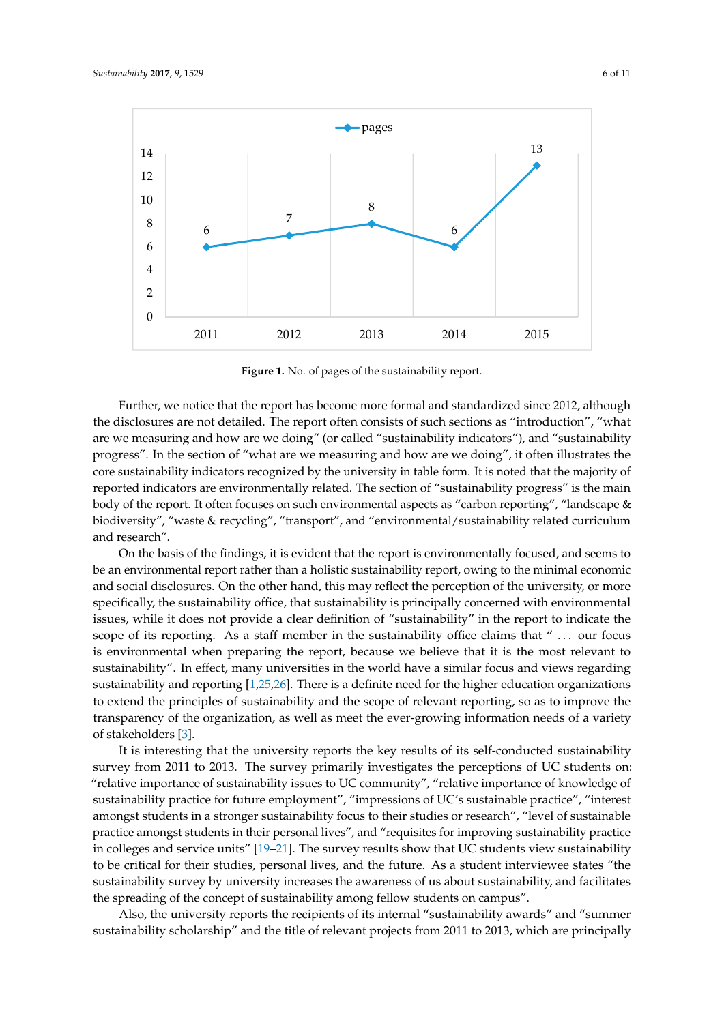<span id="page-5-0"></span>

**Figure 1.** No. of pages of the sustainability report. **Figure 1.** No. of pages of the sustainability report.

Further, we notice that the report has become more formal and standardized since 2012, Further, we notice that the report has become more formal and standardized since 2012, although the disclosures are not detailed. The report often consists of such sections as "introduction", "what are we measuring and how are we doing" (or called "sustainability indicators"), and "sustainability progress". In the section of "what are we measuring and how are we doing", it often illustrates the core sustainability indicators recognized by the university in table form. It is noted that the majority of reported indicators are environmentally related. The section of "sustainability progress" is the main body of the report. It often focuses on such environmental aspects as "carbon reporting", "landscape & body of the report. It often focuses on such environmental aspects as "carbon reporting", "landscape &<br>biodiversity", "waste & recycling", "transport", and "environmental/sustainability related curriculum and research". **Environmental** environmental curriculum and research  $\mathbf{r}$ .

On the basis of the findings, it is evident that the report is environmentally focused, and seems On the basis of the findings, it is evident that the report is environmentally focused, and seems to be an environmental report rather than a holistic sustainability report, owing to the minimal economic and social disclosures. On the other hand, this may reflect the perception of the university, or more specifically, the sustainability office, that sustainability is principally concerned with environmental issues, while it does not provide a clear definition of "sustainability" in the report to indicate the scope of its reporting. As a staff member in the sustainability office claims that " ... our focus is environmental when preparing the report, because we believe that it is the most relevant to sustainability". In effect, many universities in the world have a similar focus and views regarding sustainability". In effect, many universities in the world have a similar focus and views regarding sustainability and reporting [\[1](#page-9-0)[,25](#page-10-0)[,26](#page-10-1)]. There is a definite need for the higher education organizations sustainability and reporting [1,25,26]. There is a definite need for the higher education organizations to extend the principles of sustainability and the scope of relevant reporting, so as to improve the to extend the principles of sustainability and the scope of relevant reporting, so as to improve the transparency of the organization, as well as meet the ever-growing information needs of a variety of stakeholders [\[3\]](#page-9-2).

It is interesting that the university reports the key results of its self-conducted sustainability It is interesting that the university reports the key results of its self-conducted sustainability survey from 2011 to 2013. The survey primarily investigates the perceptions of UC students on: "relative importance of sustainability issues to UC community", "relative importance of knowledge of sustainability practice for future employment", "impressions of UC's sustainable practice", "interest amongst students in a stronger sustainability focus to their studies or research", "level of sustainable practice amongst students in their personal lives", and "requisites for improving sustainability practice in colleges and service units" [\[19](#page-9-15)[–21\]](#page-9-18). The survey results show that UC students view sustainability to be critical for their studies, personal lives, and the future. As a student interviewee states "the sustainability survey by university increases the awareness of us about sustainability, and facilitates the spreading of the concept of sustainability among fellow students on campus".

Also, the university reports the recipients of its internal "sustainability awards" and "summer sustainability scholarship" and the title of relevant projects from 2011 to 2013, which are principally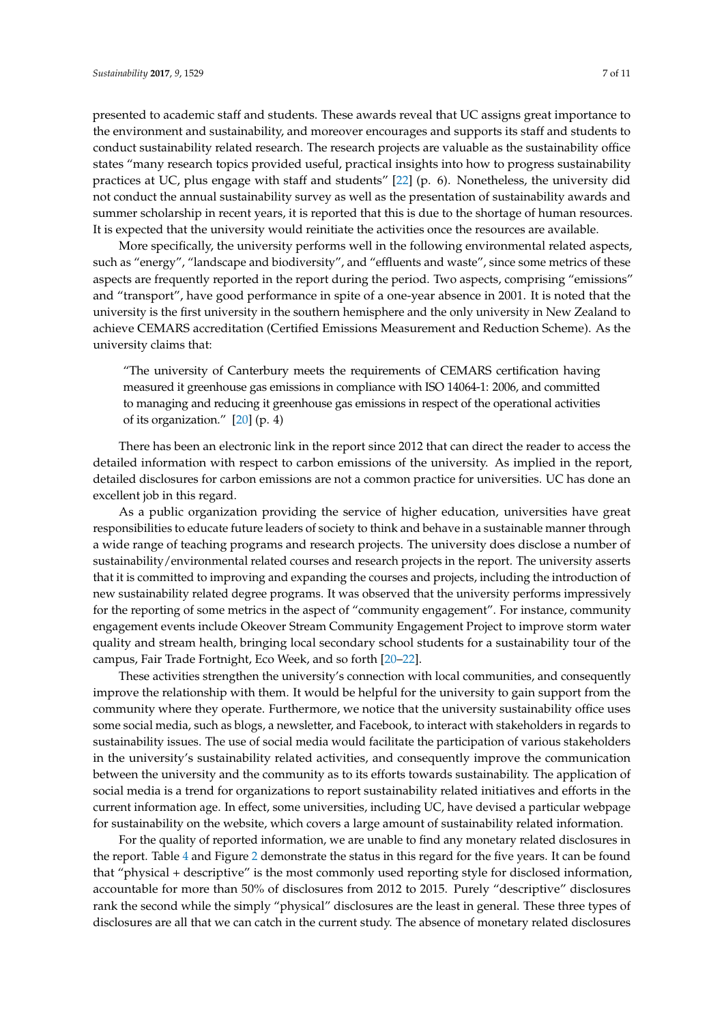presented to academic staff and students. These awards reveal that UC assigns great importance to the environment and sustainability, and moreover encourages and supports its staff and students to conduct sustainability related research. The research projects are valuable as the sustainability office states "many research topics provided useful, practical insights into how to progress sustainability practices at UC, plus engage with staff and students" [\[22\]](#page-9-19) (p. 6). Nonetheless, the university did not conduct the annual sustainability survey as well as the presentation of sustainability awards and summer scholarship in recent years, it is reported that this is due to the shortage of human resources. It is expected that the university would reinitiate the activities once the resources are available.

More specifically, the university performs well in the following environmental related aspects, such as "energy", "landscape and biodiversity", and "effluents and waste", since some metrics of these aspects are frequently reported in the report during the period. Two aspects, comprising "emissions" and "transport", have good performance in spite of a one-year absence in 2001. It is noted that the university is the first university in the southern hemisphere and the only university in New Zealand to achieve CEMARS accreditation (Certified Emissions Measurement and Reduction Scheme). As the university claims that:

"The university of Canterbury meets the requirements of CEMARS certification having measured it greenhouse gas emissions in compliance with ISO 14064-1: 2006, and committed to managing and reducing it greenhouse gas emissions in respect of the operational activities of its organization." [\[20\]](#page-9-20) (p. 4)

There has been an electronic link in the report since 2012 that can direct the reader to access the detailed information with respect to carbon emissions of the university. As implied in the report, detailed disclosures for carbon emissions are not a common practice for universities. UC has done an excellent job in this regard.

As a public organization providing the service of higher education, universities have great responsibilities to educate future leaders of society to think and behave in a sustainable manner through a wide range of teaching programs and research projects. The university does disclose a number of sustainability/environmental related courses and research projects in the report. The university asserts that it is committed to improving and expanding the courses and projects, including the introduction of new sustainability related degree programs. It was observed that the university performs impressively for the reporting of some metrics in the aspect of "community engagement". For instance, community engagement events include Okeover Stream Community Engagement Project to improve storm water quality and stream health, bringing local secondary school students for a sustainability tour of the campus, Fair Trade Fortnight, Eco Week, and so forth [\[20](#page-9-20)[–22\]](#page-9-19).

These activities strengthen the university's connection with local communities, and consequently improve the relationship with them. It would be helpful for the university to gain support from the community where they operate. Furthermore, we notice that the university sustainability office uses some social media, such as blogs, a newsletter, and Facebook, to interact with stakeholders in regards to sustainability issues. The use of social media would facilitate the participation of various stakeholders in the university's sustainability related activities, and consequently improve the communication between the university and the community as to its efforts towards sustainability. The application of social media is a trend for organizations to report sustainability related initiatives and efforts in the current information age. In effect, some universities, including UC, have devised a particular webpage for sustainability on the website, which covers a large amount of sustainability related information.

For the quality of reported information, we are unable to find any monetary related disclosures in the report. Table [4](#page-7-0) and Figure [2](#page-7-1) demonstrate the status in this regard for the five years. It can be found that "physical + descriptive" is the most commonly used reporting style for disclosed information, accountable for more than 50% of disclosures from 2012 to 2015. Purely "descriptive" disclosures rank the second while the simply "physical" disclosures are the least in general. These three types of disclosures are all that we can catch in the current study. The absence of monetary related disclosures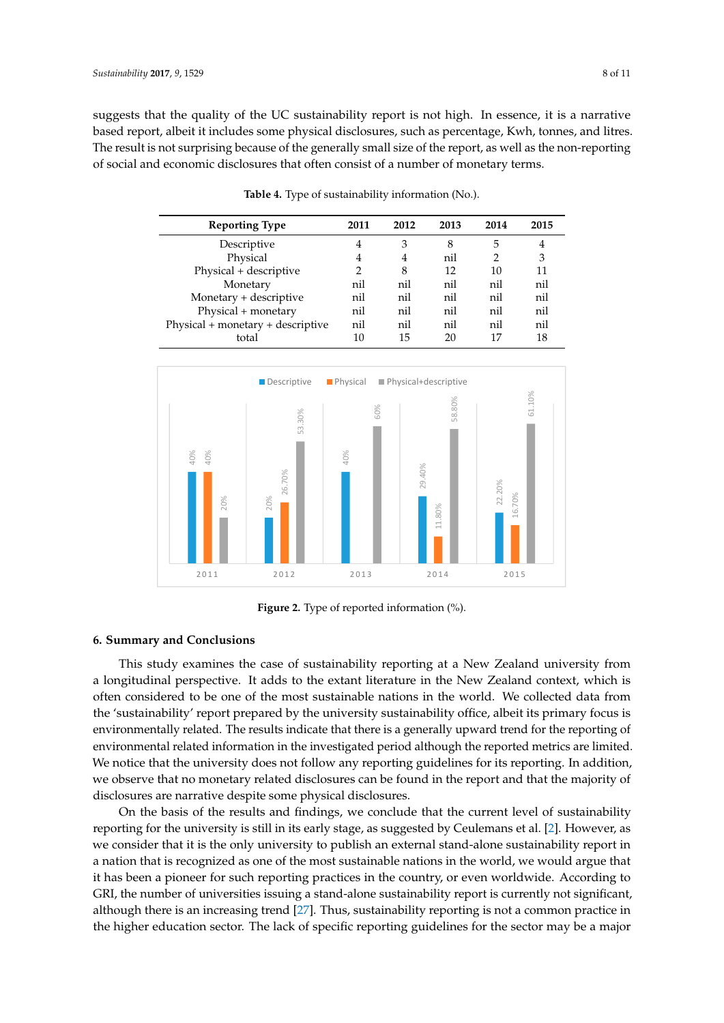suggests that the quality of the UC sustainability report is not high. In essence, it is a narrative based report, albeit it includes some physical disclosures, such as percentage, Kwh, tonnes, and litres. The result is not surprising because of the generally small size of the report, as well as the non-reporting of social and economic disclosures that often consist of a number of monetary terms. monetary terms.

<span id="page-7-0"></span>

| <b>Reporting Type</b>             | 2011 | 2012           | 2013 | 2014 | 2015 |
|-----------------------------------|------|----------------|------|------|------|
| Descriptive                       | 4    | 3              | 8    | 5    | 4    |
| Physical                          | 4    | $\overline{4}$ | nil  |      | 3    |
| Physical + descriptive            |      | 8              | 12   | 10   | 11   |
| Monetary                          | nil  | nil            | nil  | nil  | nil  |
| Monetary + descriptive            | nil  | nil            | nil  | nil  | nil  |
| Physical + monetary               | nil  | nil            | nil  | nil  | nil  |
| Physical + monetary + descriptive | nil  | nil            | nil  | nil  | nil  |
| total                             | 10   | 15             | 20   | 17   | 18   |
|                                   |      |                |      |      |      |

**Table 4.** Type of sustainability information (No.). **Table 4.**Type of sustainability information (No.).

<span id="page-7-1"></span>

**Figure 2.** Type of reported information (%). **Figure 2.** Type of reported information (%).

## **6. Summary and Conclusions 6. Summary and Conclusions**

This study examines the case of sustainability reporting at a New Zealand university from a This study examines the case of sustainability reporting at a New Zealand university from a longitudinal perspective. It adds to the extant literature in the New Zealand context, which is often considered to be one of the most sustainable nations in the world. We collected data from the 'sustainability' report prepared by the university sustainability office, albeit its primary focus is environmentally related. The results indicate that there is a generally upward trend for the reporting of environmental related information in the investigated period although the reported metrics are limited. We notice that the university does not follow any reporting guidelines for its reporting. In addition, we observe that no monetary related disclosures can be found in the report and that the majority of disclosures are narrative despite some physical disclosures.

On the basis of the results and findings, we conclude that the current level of sustainability reporting for the university is still in its early stage, as suggested by Ceulemans et al. [\[2\]](#page-9-1). However, as we consider that it is the only university to publish an external stand-alone sustainability report in a nation that is recognized as one of the most sustainable nations in the world, we would argue that it has been a pioneer for such reporting practices in the country, or even worldwide. According to GRI, the number of universities issuing a stand-alone sustainability report is currently not significant, although there is an increasing trend [\[27\]](#page-10-2). Thus, sustainability reporting is not a common practice in the higher education sector. The lack of specific reporting guidelines for the sector may be a major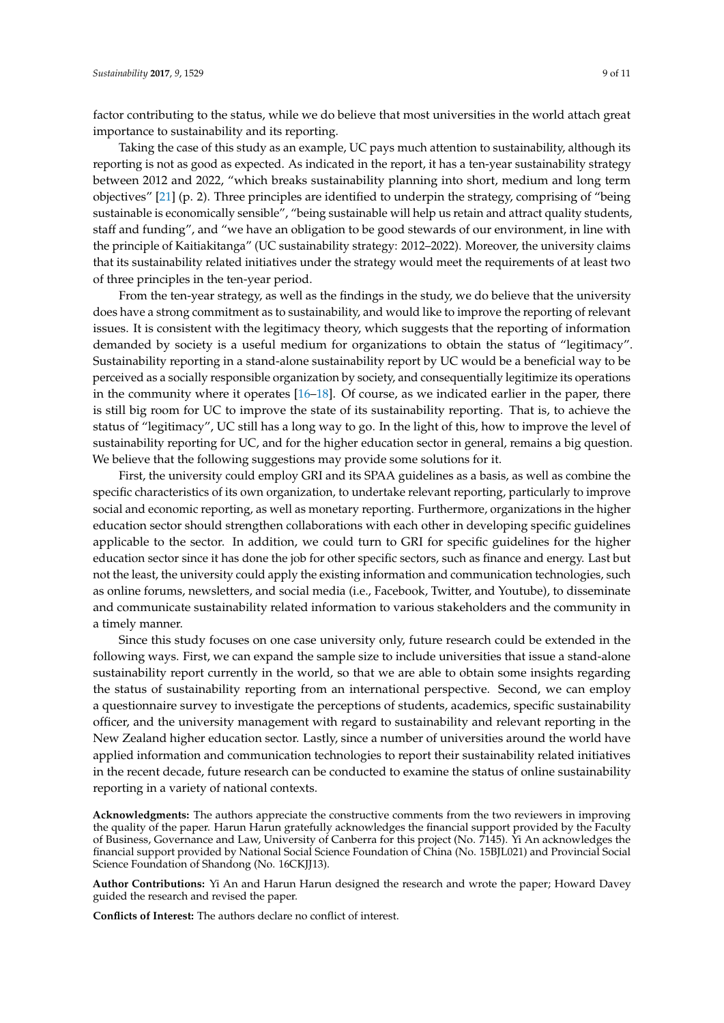factor contributing to the status, while we do believe that most universities in the world attach great importance to sustainability and its reporting.

Taking the case of this study as an example, UC pays much attention to sustainability, although its reporting is not as good as expected. As indicated in the report, it has a ten-year sustainability strategy between 2012 and 2022, "which breaks sustainability planning into short, medium and long term objectives" [\[21\]](#page-9-18) (p. 2). Three principles are identified to underpin the strategy, comprising of "being sustainable is economically sensible", "being sustainable will help us retain and attract quality students, staff and funding", and "we have an obligation to be good stewards of our environment, in line with the principle of Kaitiakitanga" (UC sustainability strategy: 2012–2022). Moreover, the university claims that its sustainability related initiatives under the strategy would meet the requirements of at least two of three principles in the ten-year period.

From the ten-year strategy, as well as the findings in the study, we do believe that the university does have a strong commitment as to sustainability, and would like to improve the reporting of relevant issues. It is consistent with the legitimacy theory, which suggests that the reporting of information demanded by society is a useful medium for organizations to obtain the status of "legitimacy". Sustainability reporting in a stand-alone sustainability report by UC would be a beneficial way to be perceived as a socially responsible organization by society, and consequentially legitimize its operations in the community where it operates [\[16](#page-9-12)[–18\]](#page-9-14). Of course, as we indicated earlier in the paper, there is still big room for UC to improve the state of its sustainability reporting. That is, to achieve the status of "legitimacy", UC still has a long way to go. In the light of this, how to improve the level of sustainability reporting for UC, and for the higher education sector in general, remains a big question. We believe that the following suggestions may provide some solutions for it.

First, the university could employ GRI and its SPAA guidelines as a basis, as well as combine the specific characteristics of its own organization, to undertake relevant reporting, particularly to improve social and economic reporting, as well as monetary reporting. Furthermore, organizations in the higher education sector should strengthen collaborations with each other in developing specific guidelines applicable to the sector. In addition, we could turn to GRI for specific guidelines for the higher education sector since it has done the job for other specific sectors, such as finance and energy. Last but not the least, the university could apply the existing information and communication technologies, such as online forums, newsletters, and social media (i.e., Facebook, Twitter, and Youtube), to disseminate and communicate sustainability related information to various stakeholders and the community in a timely manner.

Since this study focuses on one case university only, future research could be extended in the following ways. First, we can expand the sample size to include universities that issue a stand-alone sustainability report currently in the world, so that we are able to obtain some insights regarding the status of sustainability reporting from an international perspective. Second, we can employ a questionnaire survey to investigate the perceptions of students, academics, specific sustainability officer, and the university management with regard to sustainability and relevant reporting in the New Zealand higher education sector. Lastly, since a number of universities around the world have applied information and communication technologies to report their sustainability related initiatives in the recent decade, future research can be conducted to examine the status of online sustainability reporting in a variety of national contexts.

**Acknowledgments:** The authors appreciate the constructive comments from the two reviewers in improving the quality of the paper. Harun Harun gratefully acknowledges the financial support provided by the Faculty of Business, Governance and Law, University of Canberra for this project (No. 7145). Yi An acknowledges the financial support provided by National Social Science Foundation of China (No. 15BJL021) and Provincial Social Science Foundation of Shandong (No. 16CKJJ13).

**Author Contributions:** Yi An and Harun Harun designed the research and wrote the paper; Howard Davey guided the research and revised the paper.

**Conflicts of Interest:** The authors declare no conflict of interest.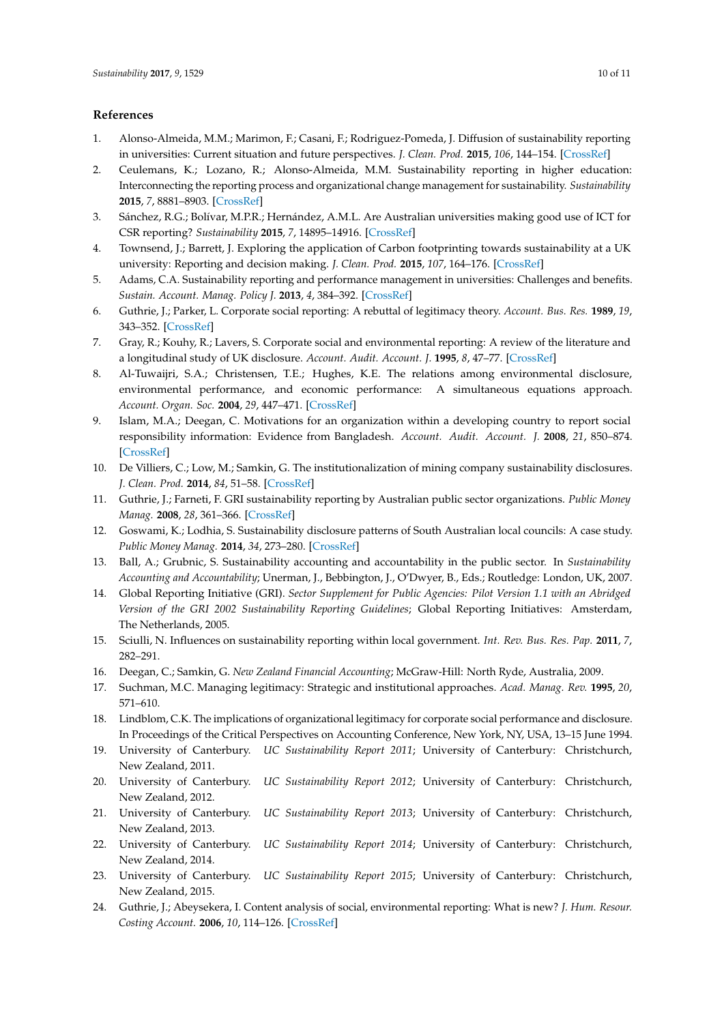#### **References**

- <span id="page-9-0"></span>1. Alonso-Almeida, M.M.; Marimon, F.; Casani, F.; Rodriguez-Pomeda, J. Diffusion of sustainability reporting in universities: Current situation and future perspectives. *J. Clean. Prod.* **2015**, *106*, 144–154. [\[CrossRef\]](http://dx.doi.org/10.1016/j.jclepro.2014.02.008)
- <span id="page-9-1"></span>2. Ceulemans, K.; Lozano, R.; Alonso-Almeida, M.M. Sustainability reporting in higher education: Interconnecting the reporting process and organizational change management for sustainability. *Sustainability* **2015**, *7*, 8881–8903. [\[CrossRef\]](http://dx.doi.org/10.3390/su7078881)
- <span id="page-9-2"></span>3. Sánchez, R.G.; Bolívar, M.P.R.; Hernández, A.M.L. Are Australian universities making good use of ICT for CSR reporting? *Sustainability* **2015**, *7*, 14895–14916. [\[CrossRef\]](http://dx.doi.org/10.3390/su71114895)
- <span id="page-9-3"></span>4. Townsend, J.; Barrett, J. Exploring the application of Carbon footprinting towards sustainability at a UK university: Reporting and decision making. *J. Clean. Prod.* **2015**, *107*, 164–176. [\[CrossRef\]](http://dx.doi.org/10.1016/j.jclepro.2013.11.004)
- <span id="page-9-4"></span>5. Adams, C.A. Sustainability reporting and performance management in universities: Challenges and benefits. *Sustain. Account. Manag. Policy J.* **2013**, *4*, 384–392. [\[CrossRef\]](http://dx.doi.org/10.1108/SAMPJ-12-2012-0044)
- <span id="page-9-5"></span>6. Guthrie, J.; Parker, L. Corporate social reporting: A rebuttal of legitimacy theory. *Account. Bus. Res.* **1989**, *19*, 343–352. [\[CrossRef\]](http://dx.doi.org/10.1080/00014788.1989.9728863)
- 7. Gray, R.; Kouhy, R.; Lavers, S. Corporate social and environmental reporting: A review of the literature and a longitudinal study of UK disclosure. *Account. Audit. Account. J.* **1995**, *8*, 47–77. [\[CrossRef\]](http://dx.doi.org/10.1108/09513579510146996)
- 8. Al-Tuwaijri, S.A.; Christensen, T.E.; Hughes, K.E. The relations among environmental disclosure, environmental performance, and economic performance: A simultaneous equations approach. *Account. Organ. Soc.* **2004**, *29*, 447–471. [\[CrossRef\]](http://dx.doi.org/10.1016/S0361-3682(03)00032-1)
- 9. Islam, M.A.; Deegan, C. Motivations for an organization within a developing country to report social responsibility information: Evidence from Bangladesh. *Account. Audit. Account. J.* **2008**, *21*, 850–874. [\[CrossRef\]](http://dx.doi.org/10.1108/09513570810893272)
- <span id="page-9-6"></span>10. De Villiers, C.; Low, M.; Samkin, G. The institutionalization of mining company sustainability disclosures. *J. Clean. Prod.* **2014**, *84*, 51–58. [\[CrossRef\]](http://dx.doi.org/10.1016/j.jclepro.2014.01.089)
- <span id="page-9-7"></span>11. Guthrie, J.; Farneti, F. GRI sustainability reporting by Australian public sector organizations. *Public Money Manag.* **2008**, *28*, 361–366. [\[CrossRef\]](http://dx.doi.org/10.1111/j.1467-9302.2008.00670.x)
- <span id="page-9-8"></span>12. Goswami, K.; Lodhia, S. Sustainability disclosure patterns of South Australian local councils: A case study. *Public Money Manag.* **2014**, *34*, 273–280. [\[CrossRef\]](http://dx.doi.org/10.1080/09540962.2014.920200)
- <span id="page-9-9"></span>13. Ball, A.; Grubnic, S. Sustainability accounting and accountability in the public sector. In *Sustainability Accounting and Accountability*; Unerman, J., Bebbington, J., O'Dwyer, B., Eds.; Routledge: London, UK, 2007.
- <span id="page-9-10"></span>14. Global Reporting Initiative (GRI). *Sector Supplement for Public Agencies: Pilot Version 1.1 with an Abridged Version of the GRI 2002 Sustainability Reporting Guidelines*; Global Reporting Initiatives: Amsterdam, The Netherlands, 2005.
- <span id="page-9-11"></span>15. Sciulli, N. Influences on sustainability reporting within local government. *Int. Rev. Bus. Res. Pap.* **2011**, *7*, 282–291.
- <span id="page-9-12"></span>16. Deegan, C.; Samkin, G. *New Zealand Financial Accounting*; McGraw-Hill: North Ryde, Australia, 2009.
- <span id="page-9-13"></span>17. Suchman, M.C. Managing legitimacy: Strategic and institutional approaches. *Acad. Manag. Rev.* **1995**, *20*, 571–610.
- <span id="page-9-14"></span>18. Lindblom, C.K. The implications of organizational legitimacy for corporate social performance and disclosure. In Proceedings of the Critical Perspectives on Accounting Conference, New York, NY, USA, 13–15 June 1994.
- <span id="page-9-15"></span>19. University of Canterbury. *UC Sustainability Report 2011*; University of Canterbury: Christchurch, New Zealand, 2011.
- <span id="page-9-20"></span>20. University of Canterbury. *UC Sustainability Report 2012*; University of Canterbury: Christchurch, New Zealand, 2012.
- <span id="page-9-18"></span>21. University of Canterbury. *UC Sustainability Report 2013*; University of Canterbury: Christchurch, New Zealand, 2013.
- <span id="page-9-19"></span>22. University of Canterbury. *UC Sustainability Report 2014*; University of Canterbury: Christchurch, New Zealand, 2014.
- <span id="page-9-16"></span>23. University of Canterbury. *UC Sustainability Report 2015*; University of Canterbury: Christchurch, New Zealand, 2015.
- <span id="page-9-17"></span>24. Guthrie, J.; Abeysekera, I. Content analysis of social, environmental reporting: What is new? *J. Hum. Resour. Costing Account.* **2006**, *10*, 114–126. [\[CrossRef\]](http://dx.doi.org/10.1108/14013380610703120)